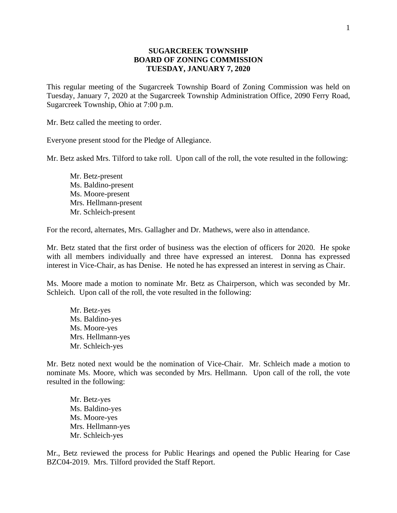## **SUGARCREEK TOWNSHIP BOARD OF ZONING COMMISSION TUESDAY, JANUARY 7, 2020**

This regular meeting of the Sugarcreek Township Board of Zoning Commission was held on Tuesday, January 7, 2020 at the Sugarcreek Township Administration Office, 2090 Ferry Road, Sugarcreek Township, Ohio at 7:00 p.m.

Mr. Betz called the meeting to order.

Everyone present stood for the Pledge of Allegiance.

Mr. Betz asked Mrs. Tilford to take roll. Upon call of the roll, the vote resulted in the following:

Mr. Betz-present Ms. Baldino-present Ms. Moore-present Mrs. Hellmann-present Mr. Schleich-present

For the record, alternates, Mrs. Gallagher and Dr. Mathews, were also in attendance.

Mr. Betz stated that the first order of business was the election of officers for 2020. He spoke with all members individually and three have expressed an interest. Donna has expressed interest in Vice-Chair, as has Denise. He noted he has expressed an interest in serving as Chair.

Ms. Moore made a motion to nominate Mr. Betz as Chairperson, which was seconded by Mr. Schleich. Upon call of the roll, the vote resulted in the following:

Mr. Betz-yes Ms. Baldino-yes Ms. Moore-yes Mrs. Hellmann-yes Mr. Schleich-yes

Mr. Betz noted next would be the nomination of Vice-Chair. Mr. Schleich made a motion to nominate Ms. Moore, which was seconded by Mrs. Hellmann. Upon call of the roll, the vote resulted in the following:

Mr. Betz-yes Ms. Baldino-yes Ms. Moore-yes Mrs. Hellmann-yes Mr. Schleich-yes

Mr., Betz reviewed the process for Public Hearings and opened the Public Hearing for Case BZC04-2019. Mrs. Tilford provided the Staff Report.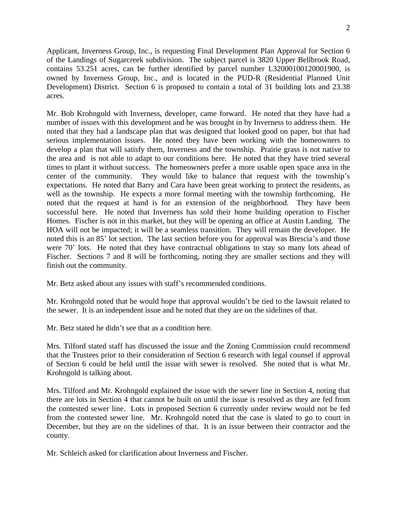Applicant, Inverness Group, Inc., is requesting Final Development Plan Approval for Section 6 of the Landings of Sugarcreek subdivision. The subject parcel is 3820 Upper Bellbrook Road, contains 53.251 acres, can be further identified by parcel number L32000100120001900, is owned by Inverness Group, Inc., and is located in the PUD-R (Residential Planned Unit Development) District. Section 6 is proposed to contain a total of 31 building lots and 23.38 acres.

Mr. Bob Krohngold with Inverness, developer, came forward. He noted that they have had a number of issues with this development and he was brought in by Inverness to address them. He noted that they had a landscape plan that was designed that looked good on paper, but that had serious implementation issues. He noted they have been working with the homeowners to develop a plan that will satisfy them, Inverness and the township. Prairie grass is not native to the area and is not able to adapt to our conditions here. He noted that they have tried several times to plant it without success. The homeowners prefer a more usable open space area in the center of the community. They would like to balance that request with the township's expectations. He noted that Barry and Cara have been great working to protect the residents, as well as the township. He expects a more formal meeting with the township forthcoming. He noted that the request at hand is for an extension of the neighborhood. They have been successful here. He noted that Inverness has sold their home building operation to Fischer Homes. Fischer is not in this market, but they will be opening an office at Austin Landing. The HOA will not be impacted; it will be a seamless transition. They will remain the developer. He noted this is an 85' lot section. The last section before you for approval was Brescia's and those were 70' lots. He noted that they have contractual obligations to stay so many lots ahead of Fischer. Sections 7 and 8 will be forthcoming, noting they are smaller sections and they will finish out the community.

Mr. Betz asked about any issues with staff's recommended conditions.

Mr. Krohngold noted that he would hope that approval wouldn't be tied to the lawsuit related to the sewer. It is an independent issue and he noted that they are on the sidelines of that.

Mr. Betz stated he didn't see that as a condition here.

Mrs. Tilford stated staff has discussed the issue and the Zoning Commission could recommend that the Trustees prior to their consideration of Section 6 research with legal counsel if approval of Section 6 could be held until the issue with sewer is resolved. She noted that is what Mr. Krohngold is talking about.

Mrs. Tilford and Mr. Krohngold explained the issue with the sewer line in Section 4, noting that there are lots in Section 4 that cannot be built on until the issue is resolved as they are fed from the contested sewer line. Lots in proposed Section 6 currently under review would not be fed from the contested sewer line. Mr. Krohngold noted that the case is slated to go to court in December, but they are on the sidelines of that. It is an issue between their contractor and the county.

Mr. Schleich asked for clarification about Inverness and Fischer.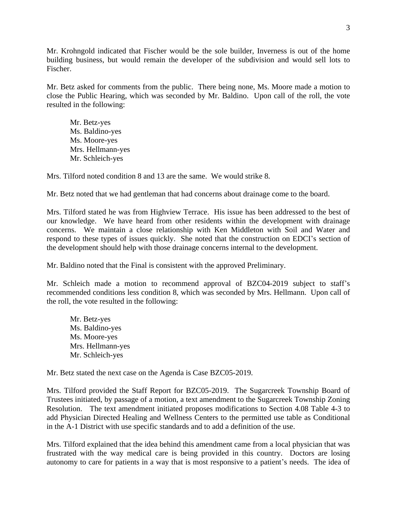Mr. Krohngold indicated that Fischer would be the sole builder, Inverness is out of the home building business, but would remain the developer of the subdivision and would sell lots to Fischer.

Mr. Betz asked for comments from the public. There being none, Ms. Moore made a motion to close the Public Hearing, which was seconded by Mr. Baldino. Upon call of the roll, the vote resulted in the following:

Mr. Betz-yes Ms. Baldino-yes Ms. Moore-yes Mrs. Hellmann-yes Mr. Schleich-yes

Mrs. Tilford noted condition 8 and 13 are the same. We would strike 8.

Mr. Betz noted that we had gentleman that had concerns about drainage come to the board.

Mrs. Tilford stated he was from Highview Terrace. His issue has been addressed to the best of our knowledge. We have heard from other residents within the development with drainage concerns. We maintain a close relationship with Ken Middleton with Soil and Water and respond to these types of issues quickly. She noted that the construction on EDCI's section of the development should help with those drainage concerns internal to the development.

Mr. Baldino noted that the Final is consistent with the approved Preliminary.

Mr. Schleich made a motion to recommend approval of BZC04-2019 subject to staff's recommended conditions less condition 8, which was seconded by Mrs. Hellmann. Upon call of the roll, the vote resulted in the following:

Mr. Betz-yes Ms. Baldino-yes Ms. Moore-yes Mrs. Hellmann-yes Mr. Schleich-yes

Mr. Betz stated the next case on the Agenda is Case BZC05-2019.

Mrs. Tilford provided the Staff Report for BZC05-2019. The Sugarcreek Township Board of Trustees initiated, by passage of a motion, a text amendment to the Sugarcreek Township Zoning Resolution. The text amendment initiated proposes modifications to Section 4.08 Table 4-3 to add Physician Directed Healing and Wellness Centers to the permitted use table as Conditional in the A-1 District with use specific standards and to add a definition of the use.

Mrs. Tilford explained that the idea behind this amendment came from a local physician that was frustrated with the way medical care is being provided in this country. Doctors are losing autonomy to care for patients in a way that is most responsive to a patient's needs. The idea of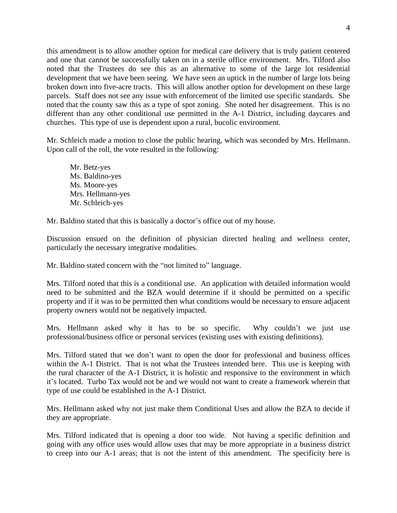this amendment is to allow another option for medical care delivery that is truly patient centered and one that cannot be successfully taken on in a sterile office environment. Mrs. Tilford also noted that the Trustees do see this as an alternative to some of the large lot residential development that we have been seeing. We have seen an uptick in the number of large lots being broken down into five-acre tracts. This will allow another option for development on these large parcels. Staff does not see any issue with enforcement of the limited use specific standards. She noted that the county saw this as a type of spot zoning. She noted her disagreement. This is no different than any other conditional use permitted in the A-1 District, including daycares and churches. This type of use is dependent upon a rural, bucolic environment.

Mr. Schleich made a motion to close the public hearing, which was seconded by Mrs. Hellmann. Upon call of the roll, the vote resulted in the following:

Mr. Betz-yes Ms. Baldino-yes Ms. Moore-yes Mrs. Hellmann-yes Mr. Schleich-yes

Mr. Baldino stated that this is basically a doctor's office out of my house.

Discussion ensued on the definition of physician directed healing and wellness center, particularly the necessary integrative modalities.

Mr. Baldino stated concern with the "not limited to" language.

Mrs. Tilford noted that this is a conditional use. An application with detailed information would need to be submitted and the BZA would determine if it should be permitted on a specific property and if it was to be permitted then what conditions would be necessary to ensure adjacent property owners would not be negatively impacted.

Mrs. Hellmann asked why it has to be so specific. Why couldn't we just use professional/business office or personal services (existing uses with existing definitions).

Mrs. Tilford stated that we don't want to open the door for professional and business offices within the A-1 District. That is not what the Trustees intended here. This use is keeping with the rural character of the A-1 District, it is holistic and responsive to the environment in which it's located. Turbo Tax would not be and we would not want to create a framework wherein that type of use could be established in the A-1 District.

Mrs. Hellmann asked why not just make them Conditional Uses and allow the BZA to decide if they are appropriate.

Mrs. Tilford indicated that is opening a door too wide. Not having a specific definition and going with any office uses would allow uses that may be more appropriate in a business district to creep into our A-1 areas; that is not the intent of this amendment. The specificity here is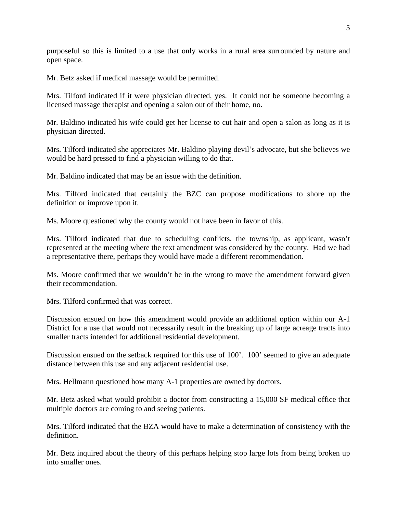purposeful so this is limited to a use that only works in a rural area surrounded by nature and open space.

Mr. Betz asked if medical massage would be permitted.

Mrs. Tilford indicated if it were physician directed, yes. It could not be someone becoming a licensed massage therapist and opening a salon out of their home, no.

Mr. Baldino indicated his wife could get her license to cut hair and open a salon as long as it is physician directed.

Mrs. Tilford indicated she appreciates Mr. Baldino playing devil's advocate, but she believes we would be hard pressed to find a physician willing to do that.

Mr. Baldino indicated that may be an issue with the definition.

Mrs. Tilford indicated that certainly the BZC can propose modifications to shore up the definition or improve upon it.

Ms. Moore questioned why the county would not have been in favor of this.

Mrs. Tilford indicated that due to scheduling conflicts, the township, as applicant, wasn't represented at the meeting where the text amendment was considered by the county. Had we had a representative there, perhaps they would have made a different recommendation.

Ms. Moore confirmed that we wouldn't be in the wrong to move the amendment forward given their recommendation.

Mrs. Tilford confirmed that was correct.

Discussion ensued on how this amendment would provide an additional option within our A-1 District for a use that would not necessarily result in the breaking up of large acreage tracts into smaller tracts intended for additional residential development.

Discussion ensued on the setback required for this use of 100'. 100' seemed to give an adequate distance between this use and any adjacent residential use.

Mrs. Hellmann questioned how many A-1 properties are owned by doctors.

Mr. Betz asked what would prohibit a doctor from constructing a 15,000 SF medical office that multiple doctors are coming to and seeing patients.

Mrs. Tilford indicated that the BZA would have to make a determination of consistency with the definition.

Mr. Betz inquired about the theory of this perhaps helping stop large lots from being broken up into smaller ones.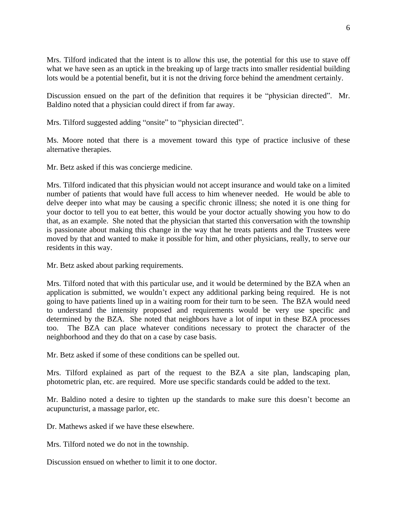Mrs. Tilford indicated that the intent is to allow this use, the potential for this use to stave off what we have seen as an uptick in the breaking up of large tracts into smaller residential building lots would be a potential benefit, but it is not the driving force behind the amendment certainly.

Discussion ensued on the part of the definition that requires it be "physician directed". Mr. Baldino noted that a physician could direct if from far away.

Mrs. Tilford suggested adding "onsite" to "physician directed".

Ms. Moore noted that there is a movement toward this type of practice inclusive of these alternative therapies.

Mr. Betz asked if this was concierge medicine.

Mrs. Tilford indicated that this physician would not accept insurance and would take on a limited number of patients that would have full access to him whenever needed. He would be able to delve deeper into what may be causing a specific chronic illness; she noted it is one thing for your doctor to tell you to eat better, this would be your doctor actually showing you how to do that, as an example. She noted that the physician that started this conversation with the township is passionate about making this change in the way that he treats patients and the Trustees were moved by that and wanted to make it possible for him, and other physicians, really, to serve our residents in this way.

Mr. Betz asked about parking requirements.

Mrs. Tilford noted that with this particular use, and it would be determined by the BZA when an application is submitted, we wouldn't expect any additional parking being required. He is not going to have patients lined up in a waiting room for their turn to be seen. The BZA would need to understand the intensity proposed and requirements would be very use specific and determined by the BZA. She noted that neighbors have a lot of input in these BZA processes too. The BZA can place whatever conditions necessary to protect the character of the neighborhood and they do that on a case by case basis.

Mr. Betz asked if some of these conditions can be spelled out.

Mrs. Tilford explained as part of the request to the BZA a site plan, landscaping plan, photometric plan, etc. are required. More use specific standards could be added to the text.

Mr. Baldino noted a desire to tighten up the standards to make sure this doesn't become an acupuncturist, a massage parlor, etc.

Dr. Mathews asked if we have these elsewhere.

Mrs. Tilford noted we do not in the township.

Discussion ensued on whether to limit it to one doctor.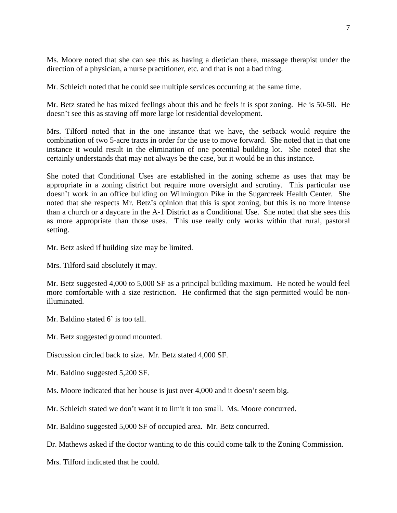Ms. Moore noted that she can see this as having a dietician there, massage therapist under the direction of a physician, a nurse practitioner, etc. and that is not a bad thing.

Mr. Schleich noted that he could see multiple services occurring at the same time.

Mr. Betz stated he has mixed feelings about this and he feels it is spot zoning. He is 50-50. He doesn't see this as staving off more large lot residential development.

Mrs. Tilford noted that in the one instance that we have, the setback would require the combination of two 5-acre tracts in order for the use to move forward. She noted that in that one instance it would result in the elimination of one potential building lot. She noted that she certainly understands that may not always be the case, but it would be in this instance.

She noted that Conditional Uses are established in the zoning scheme as uses that may be appropriate in a zoning district but require more oversight and scrutiny. This particular use doesn't work in an office building on Wilmington Pike in the Sugarcreek Health Center. She noted that she respects Mr. Betz's opinion that this is spot zoning, but this is no more intense than a church or a daycare in the A-1 District as a Conditional Use. She noted that she sees this as more appropriate than those uses. This use really only works within that rural, pastoral setting.

Mr. Betz asked if building size may be limited.

Mrs. Tilford said absolutely it may.

Mr. Betz suggested 4,000 to 5,000 SF as a principal building maximum. He noted he would feel more comfortable with a size restriction. He confirmed that the sign permitted would be nonilluminated.

Mr. Baldino stated 6' is too tall.

Mr. Betz suggested ground mounted.

Discussion circled back to size. Mr. Betz stated 4,000 SF.

Mr. Baldino suggested 5,200 SF.

Ms. Moore indicated that her house is just over 4,000 and it doesn't seem big.

Mr. Schleich stated we don't want it to limit it too small. Ms. Moore concurred.

Mr. Baldino suggested 5,000 SF of occupied area. Mr. Betz concurred.

Dr. Mathews asked if the doctor wanting to do this could come talk to the Zoning Commission.

Mrs. Tilford indicated that he could.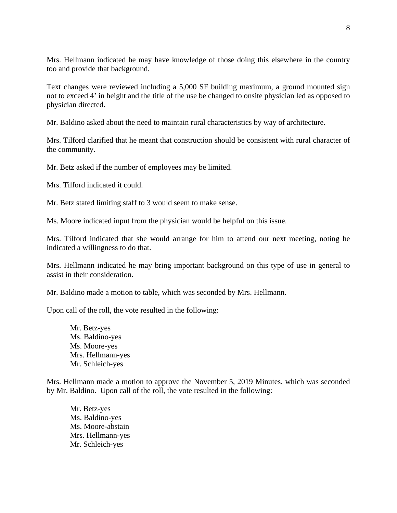Mrs. Hellmann indicated he may have knowledge of those doing this elsewhere in the country too and provide that background.

Text changes were reviewed including a 5,000 SF building maximum, a ground mounted sign not to exceed 4' in height and the title of the use be changed to onsite physician led as opposed to physician directed.

Mr. Baldino asked about the need to maintain rural characteristics by way of architecture.

Mrs. Tilford clarified that he meant that construction should be consistent with rural character of the community.

Mr. Betz asked if the number of employees may be limited.

Mrs. Tilford indicated it could.

Mr. Betz stated limiting staff to 3 would seem to make sense.

Ms. Moore indicated input from the physician would be helpful on this issue.

Mrs. Tilford indicated that she would arrange for him to attend our next meeting, noting he indicated a willingness to do that.

Mrs. Hellmann indicated he may bring important background on this type of use in general to assist in their consideration.

Mr. Baldino made a motion to table, which was seconded by Mrs. Hellmann.

Upon call of the roll, the vote resulted in the following:

Mr. Betz-yes Ms. Baldino-yes Ms. Moore-yes Mrs. Hellmann-yes Mr. Schleich-yes

Mrs. Hellmann made a motion to approve the November 5, 2019 Minutes, which was seconded by Mr. Baldino. Upon call of the roll, the vote resulted in the following:

Mr. Betz-yes Ms. Baldino-yes Ms. Moore-abstain Mrs. Hellmann-yes Mr. Schleich-yes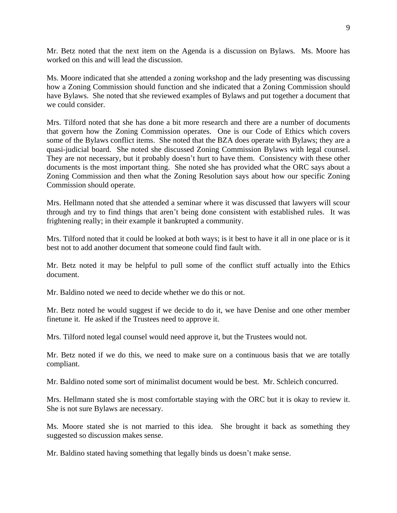Mr. Betz noted that the next item on the Agenda is a discussion on Bylaws. Ms. Moore has worked on this and will lead the discussion.

Ms. Moore indicated that she attended a zoning workshop and the lady presenting was discussing how a Zoning Commission should function and she indicated that a Zoning Commission should have Bylaws. She noted that she reviewed examples of Bylaws and put together a document that we could consider.

Mrs. Tilford noted that she has done a bit more research and there are a number of documents that govern how the Zoning Commission operates. One is our Code of Ethics which covers some of the Bylaws conflict items. She noted that the BZA does operate with Bylaws; they are a quasi-judicial board. She noted she discussed Zoning Commission Bylaws with legal counsel. They are not necessary, but it probably doesn't hurt to have them. Consistency with these other documents is the most important thing. She noted she has provided what the ORC says about a Zoning Commission and then what the Zoning Resolution says about how our specific Zoning Commission should operate.

Mrs. Hellmann noted that she attended a seminar where it was discussed that lawyers will scour through and try to find things that aren't being done consistent with established rules. It was frightening really; in their example it bankrupted a community.

Mrs. Tilford noted that it could be looked at both ways; is it best to have it all in one place or is it best not to add another document that someone could find fault with.

Mr. Betz noted it may be helpful to pull some of the conflict stuff actually into the Ethics document.

Mr. Baldino noted we need to decide whether we do this or not.

Mr. Betz noted he would suggest if we decide to do it, we have Denise and one other member finetune it. He asked if the Trustees need to approve it.

Mrs. Tilford noted legal counsel would need approve it, but the Trustees would not.

Mr. Betz noted if we do this, we need to make sure on a continuous basis that we are totally compliant.

Mr. Baldino noted some sort of minimalist document would be best. Mr. Schleich concurred.

Mrs. Hellmann stated she is most comfortable staying with the ORC but it is okay to review it. She is not sure Bylaws are necessary.

Ms. Moore stated she is not married to this idea. She brought it back as something they suggested so discussion makes sense.

Mr. Baldino stated having something that legally binds us doesn't make sense.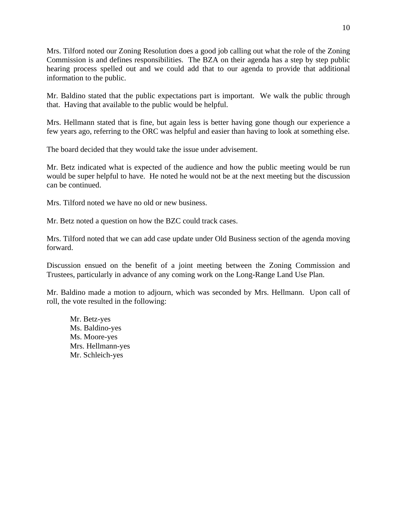Mrs. Tilford noted our Zoning Resolution does a good job calling out what the role of the Zoning Commission is and defines responsibilities. The BZA on their agenda has a step by step public hearing process spelled out and we could add that to our agenda to provide that additional information to the public.

Mr. Baldino stated that the public expectations part is important. We walk the public through that. Having that available to the public would be helpful.

Mrs. Hellmann stated that is fine, but again less is better having gone though our experience a few years ago, referring to the ORC was helpful and easier than having to look at something else.

The board decided that they would take the issue under advisement.

Mr. Betz indicated what is expected of the audience and how the public meeting would be run would be super helpful to have. He noted he would not be at the next meeting but the discussion can be continued.

Mrs. Tilford noted we have no old or new business.

Mr. Betz noted a question on how the BZC could track cases.

Mrs. Tilford noted that we can add case update under Old Business section of the agenda moving forward.

Discussion ensued on the benefit of a joint meeting between the Zoning Commission and Trustees, particularly in advance of any coming work on the Long-Range Land Use Plan.

Mr. Baldino made a motion to adjourn, which was seconded by Mrs. Hellmann. Upon call of roll, the vote resulted in the following:

Mr. Betz-yes Ms. Baldino-yes Ms. Moore-yes Mrs. Hellmann-yes Mr. Schleich-yes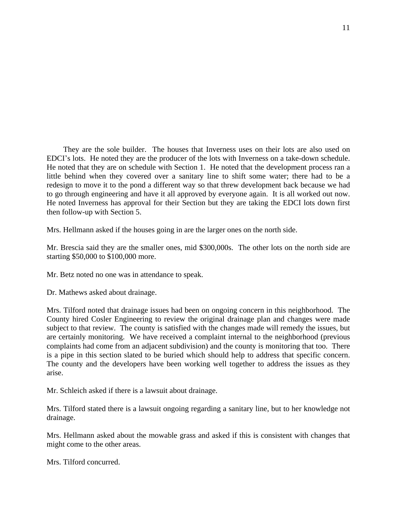They are the sole builder. The houses that Inverness uses on their lots are also used on EDCI's lots. He noted they are the producer of the lots with Inverness on a take-down schedule. He noted that they are on schedule with Section 1. He noted that the development process ran a little behind when they covered over a sanitary line to shift some water; there had to be a redesign to move it to the pond a different way so that threw development back because we had to go through engineering and have it all approved by everyone again. It is all worked out now. He noted Inverness has approval for their Section but they are taking the EDCI lots down first then follow-up with Section 5.

Mrs. Hellmann asked if the houses going in are the larger ones on the north side.

Mr. Brescia said they are the smaller ones, mid \$300,000s. The other lots on the north side are starting \$50,000 to \$100,000 more.

Mr. Betz noted no one was in attendance to speak.

Dr. Mathews asked about drainage.

Mrs. Tilford noted that drainage issues had been on ongoing concern in this neighborhood. The County hired Cosler Engineering to review the original drainage plan and changes were made subject to that review. The county is satisfied with the changes made will remedy the issues, but are certainly monitoring. We have received a complaint internal to the neighborhood (previous complaints had come from an adjacent subdivision) and the county is monitoring that too. There is a pipe in this section slated to be buried which should help to address that specific concern. The county and the developers have been working well together to address the issues as they arise.

Mr. Schleich asked if there is a lawsuit about drainage.

Mrs. Tilford stated there is a lawsuit ongoing regarding a sanitary line, but to her knowledge not drainage.

Mrs. Hellmann asked about the mowable grass and asked if this is consistent with changes that might come to the other areas.

Mrs. Tilford concurred.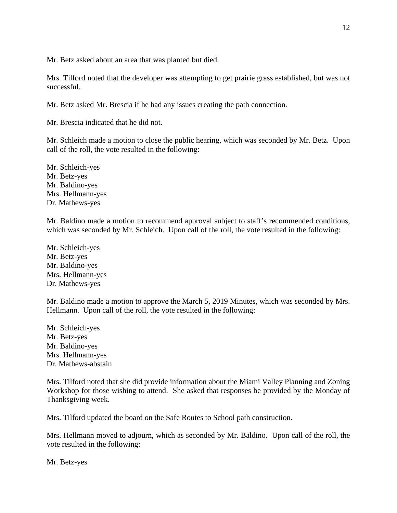Mr. Betz asked about an area that was planted but died.

Mrs. Tilford noted that the developer was attempting to get prairie grass established, but was not successful.

Mr. Betz asked Mr. Brescia if he had any issues creating the path connection.

Mr. Brescia indicated that he did not.

Mr. Schleich made a motion to close the public hearing, which was seconded by Mr. Betz. Upon call of the roll, the vote resulted in the following:

Mr. Schleich-yes Mr. Betz-yes Mr. Baldino-yes Mrs. Hellmann-yes Dr. Mathews-yes

Mr. Baldino made a motion to recommend approval subject to staff's recommended conditions, which was seconded by Mr. Schleich. Upon call of the roll, the vote resulted in the following:

Mr. Schleich-yes Mr. Betz-yes Mr. Baldino-yes Mrs. Hellmann-yes Dr. Mathews-yes

Mr. Baldino made a motion to approve the March 5, 2019 Minutes, which was seconded by Mrs. Hellmann. Upon call of the roll, the vote resulted in the following:

Mr. Schleich-yes Mr. Betz-yes Mr. Baldino-yes Mrs. Hellmann-yes Dr. Mathews-abstain

Mrs. Tilford noted that she did provide information about the Miami Valley Planning and Zoning Workshop for those wishing to attend. She asked that responses be provided by the Monday of Thanksgiving week.

Mrs. Tilford updated the board on the Safe Routes to School path construction.

Mrs. Hellmann moved to adjourn, which as seconded by Mr. Baldino. Upon call of the roll, the vote resulted in the following:

Mr. Betz-yes